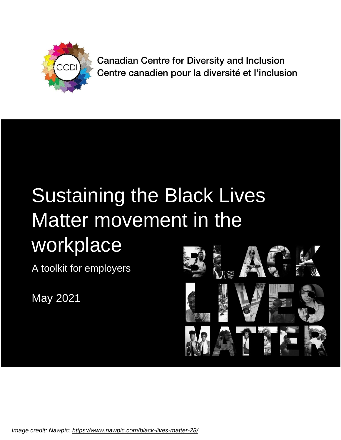

**Canadian Centre for Diversity and Inclusion** Centre canadien pour la diversité et l'inclusion

# Sustaining the Black Lives Matter movement in the workplace

A toolkit for employers

May 2021



*Image credit: Nawpic: https://www.nawpic.com/black-lives-matter-28/*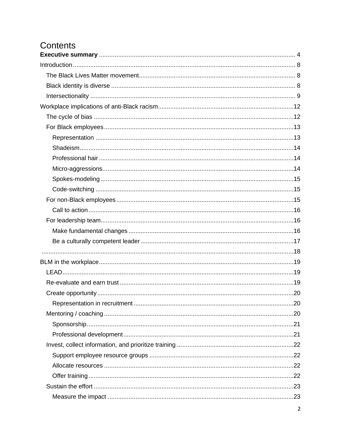# Contents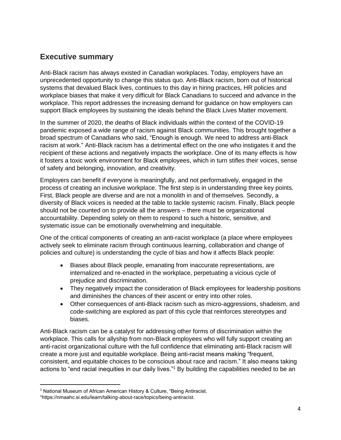### <span id="page-3-0"></span>**Executive summary**

Anti-Black racism has always existed in Canadian workplaces. Today, employers have an unprecedented opportunity to change this status quo. Anti-Black racism, born out of historical systems that devalued Black lives, continues to this day in hiring practices, HR policies and workplace biases that make it very difficult for Black Canadians to succeed and advance in the workplace. This report addresses the increasing demand for guidance on how employers can support Black employees by sustaining the ideals behind the Black Lives Matter movement.

In the summer of 2020, the deaths of Black individuals within the context of the COVID-19 pandemic exposed a wide range of racism against Black communities. This brought together a broad spectrum of Canadians who said, "Enough is enough. We need to address anti-Black racism at work." Anti-Black racism has a detrimental effect on the one who instigates it and the recipient of these actions and negatively impacts the workplace. One of its many effects is how it fosters a toxic work environment for Black employees, which in turn stifles their voices, sense of safety and belonging, innovation, and creativity.

Employers can benefit if everyone is meaningfully, and not performatively, engaged in the process of creating an inclusive workplace. The first step is in understanding three key points. First, Black people are diverse and are not a monolith in and of themselves. Secondly, a diversity of Black voices is needed at the table to tackle systemic racism. Finally, Black people should not be counted on to provide all the answers – there must be organizational accountability. Depending solely on them to respond to such a historic, sensitive, and systematic issue can be emotionally overwhelming and inequitable.

One of the critical components of creating an anti-racist workplace (a place where employees actively seek to eliminate racism through continuous learning, collaboration and change of policies and culture) is understanding the cycle of bias and how it affects Black people:

- Biases about Black people, emanating from inaccurate representations, are internalized and re-enacted in the workplace, perpetuating a vicious cycle of prejudice and discrimination.
- They negatively impact the consideration of Black employees for leadership positions and diminishes the chances of their ascent or entry into other roles.
- Other consequences of anti-Black racism such as micro-aggressions, shadeism, and code-switching are explored as part of this cycle that reinforces stereotypes and biases.

Anti-Black racism can be a catalyst for addressing other forms of discrimination within the workplace. This calls for allyship from non-Black employees who will fully support creating an anti-racist organizational culture with the full confidence that eliminating anti-Black racism will create a more just and equitable workplace. Being anti-racist means making "frequent, consistent, and equitable choices to be conscious about race and racism." It also means taking actions to "end racial inequities in our daily lives."<sup>1</sup> By building the capabilities needed to be an

<sup>&</sup>lt;sup>1</sup> National Museum of African American History & Culture, "Being Antiracist.

<sup>&</sup>quot;https://nmaahc.si.edu/learn/talking-about-race/topics/being-antiracist.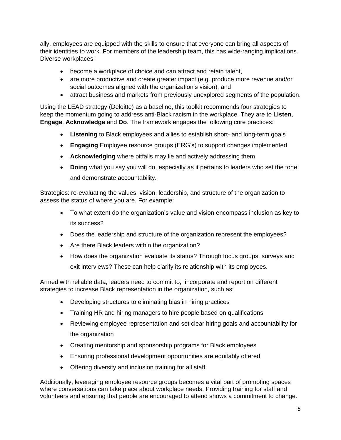ally, employees are equipped with the skills to ensure that everyone can bring all aspects of their identities to work. For members of the leadership team, this has wide-ranging implications. Diverse workplaces:

- become a workplace of choice and can attract and retain talent,
- are more productive and create greater impact (e.g. produce more revenue and/or social outcomes aligned with the organization's vision), and
- attract business and markets from previously unexplored segments of the population.

Using the LEAD strategy (Deloitte) as a baseline, this toolkit recommends four strategies to keep the momentum going to address anti-Black racism in the workplace. They are to **Listen**, **Engage**, **Acknowledge** and **Do**. The framework engages the following core practices:

- **Listening** to Black employees and allies to establish short- and long-term goals
- **Engaging** Employee resource groups (ERG's) to support changes implemented
- **Acknowledging** where pitfalls may lie and actively addressing them
- **Doing** what you say you will do, especially as it pertains to leaders who set the tone and demonstrate accountability.

Strategies: re-evaluating the values, vision, leadership, and structure of the organization to assess the status of where you are. For example:

- To what extent do the organization's value and vision encompass inclusion as key to its success?
- Does the leadership and structure of the organization represent the employees?
- Are there Black leaders within the organization?
- How does the organization evaluate its status? Through focus groups, surveys and exit interviews? These can help clarify its relationship with its employees.

Armed with reliable data, leaders need to commit to, incorporate and report on different strategies to increase Black representation in the organization, such as:

- Developing structures to eliminating bias in hiring practices
- Training HR and hiring managers to hire people based on qualifications
- Reviewing employee representation and set clear hiring goals and accountability for the organization
- Creating mentorship and sponsorship programs for Black employees
- Ensuring professional development opportunities are equitably offered
- Offering diversity and inclusion training for all staff

Additionally, leveraging employee resource groups becomes a vital part of promoting spaces where conversations can take place about workplace needs. Providing training for staff and volunteers and ensuring that people are encouraged to attend shows a commitment to change.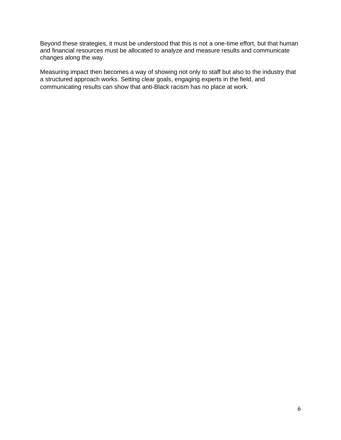Beyond these strategies, it must be understood that this is not a one-time effort, but that human and financial resources must be allocated to analyze and measure results and communicate changes along the way.

Measuring impact then becomes a way of showing not only to staff but also to the industry that a structured approach works. Setting clear goals, engaging experts in the field, and communicating results can show that anti-Black racism has no place at work.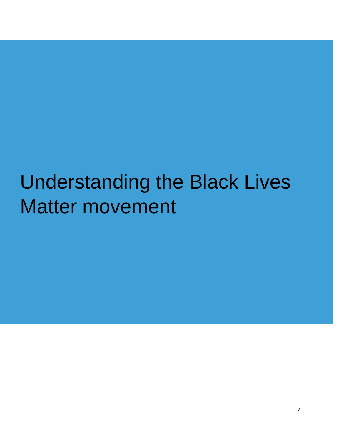# Understanding the Black Lives Matter movement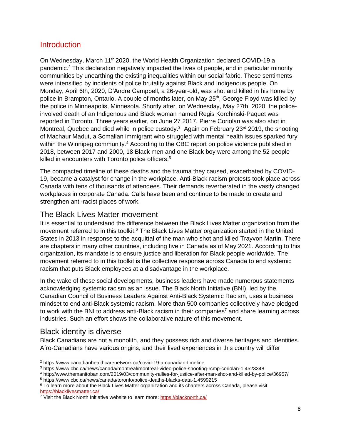#### <span id="page-7-0"></span>**Introduction**

On Wednesday, March 11<sup>th</sup> 2020, the World Health Organization declared COVID-19 a pandemic. <sup>2</sup> This declaration negatively impacted the lives of people, and in particular minority communities by unearthing the existing inequalities within our social fabric. These sentiments were intensified by incidents of police brutality against Black and Indigenous people. On Monday, April 6th, 2020, D'Andre Campbell, a 26-year-old, was shot and killed in his home by police in Brampton, Ontario. A couple of months later, on May 25<sup>th</sup>, George Floyd was killed by the police in Minneapolis, Minnesota. Shortly after, on Wednesday, May 27th, 2020, the policeinvolved death of an Indigenous and Black woman named Regis Korchinski-Paquet was reported in Toronto. Three years earlier, on June 27 2017, Pierre Coriolan was also shot in Montreal, Quebec and died while in police custody.<sup>3</sup> Again on February 23<sup>rd</sup> 2019, the shooting of Machaur Madut, a Somalian immigrant who struggled with mental health issues sparked fury within the Winnipeg community.<sup>4</sup> According to the CBC report on police violence published in 2018, between 2017 and 2000, 18 Black men and one Black boy were among the 52 people killed in encounters with Toronto police officers. 5

The compacted timeline of these deaths and the trauma they caused, exacerbated by COVID-19, became a catalyst for change in the workplace. Anti-Black racism protests took place across Canada with tens of thousands of attendees. Their demands reverberated in the vastly changed workplaces in corporate Canada. Calls have been and continue to be made to create and strengthen anti-racist places of work.

#### <span id="page-7-1"></span>The Black Lives Matter movement

It is essential to understand the difference between the Black Lives Matter organization from the movement referred to in this toolkit.<sup>6</sup> The Black Lives Matter organization started in the United States in 2013 in response to the acquittal of the man who shot and killed Trayvon Martin. There are chapters in many other countries, including five in Canada as of May 2021. According to this organization, its mandate is to ensure justice and liberation for Black people worldwide. The movement referred to in this toolkit is the collective response across Canada to end systemic racism that puts Black employees at a disadvantage in the workplace.

In the wake of these social developments, business leaders have made numerous statements acknowledging systemic racism as an issue. The Black North Initiative (BNI), led by the Canadian Council of Business Leaders Against Anti-Black Systemic Racism, uses a business mindset to end anti-Black systemic racism. More than 500 companies collectively have pledged to work with the BNI to address anti-Black racism in their companies<sup>7</sup> and share learning across industries. Such an effort shows the collaborative nature of this movement.

#### <span id="page-7-2"></span>Black identity is diverse

Black Canadians are not a monolith, and they possess rich and diverse heritages and identities. Afro-Canadians have various origins, and their lived experiences in this country will differ

<sup>4</sup> http://www.themanitoban.com/2019/03/community-rallies-for-justice-after-man-shot-and-killed-by-police/36957/

<sup>5</sup> https://www.cbc.ca/news/canada/toronto/police-deaths-blacks-data-1.4599215

<sup>2</sup> https://www.canadianhealthcarenetwork.ca/covid-19-a-canadian-timeline

<sup>3</sup> https://www.cbc.ca/news/canada/montreal/montreal-video-police-shooting-rcmp-coriolan-1.4523348

<sup>&</sup>lt;sup>6</sup> To learn more about the Black Lives Matter organization and its chapters across Canada, please visit <https://blacklivesmatter.ca/>

<sup>&</sup>lt;sup>7</sup> Visit the Black North Initiative website to learn more:<https://blacknorth.ca/>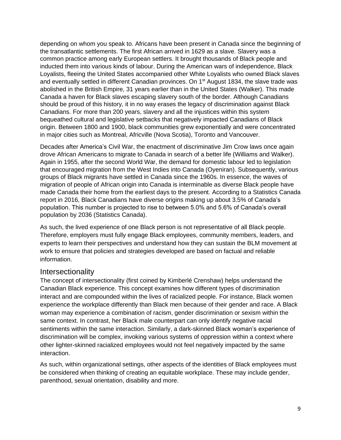depending on whom you speak to. Africans have been present in Canada since the beginning of the transatlantic settlements. The first African arrived in 1629 as a slave. Slavery was a common practice among early European settlers. It brought thousands of Black people and inducted them into various kinds of labour. During the American wars of independence, Black Loyalists, fleeing the United States accompanied other White Loyalists who owned Black slaves and eventually settled in different Canadian provinces. On 1<sup>st</sup> August 1834, the slave trade was abolished in the British Empire, 31 years earlier than in the United States (Walker). This made Canada a haven for Black slaves escaping slavery south of the border. Although Canadians should be proud of this history, it in no way erases the legacy of discrimination against Black Canadians. For more than 200 years, slavery and all the injustices within this system bequeathed cultural and legislative setbacks that negatively impacted Canadians of Black origin. Between 1800 and 1900, black communities grew exponentially and were concentrated in major cities such as Montreal, Africville (Nova Scotia), Toronto and Vancouver.

Decades after America's Civil War, the enactment of discriminative Jim Crow laws once again drove African Americans to migrate to Canada in search of a better life (Williams and Walker). Again in 1955, after the second World War, the demand for domestic labour led to legislation that encouraged migration from the West Indies into Canada (Oyeniran). Subsequently, various groups of Black migrants have settled in Canada since the 1960s. In essence, the waves of migration of people of African origin into Canada is interminable as diverse Black people have made Canada their home from the earliest days to the present. According to a Statistics Canada report in 2016, Black Canadians have diverse origins making up about 3.5% of Canada's population. This number is projected to rise to between 5.0% and 5.6% of Canada's overall population by 2036 (Statistics Canada).

As such, the lived experience of one Black person is not representative of all Black people. Therefore, employers must fully engage Black employees, community members, leaders, and experts to learn their perspectives and understand how they can sustain the BLM movement at work to ensure that policies and strategies developed are based on factual and reliable information.

#### <span id="page-8-0"></span>**Intersectionality**

The concept of intersectionality (first coined by Kimberlé Crenshaw) helps understand the Canadian Black experience. This concept examines how different types of discrimination interact and are compounded within the lives of racialized people. For instance, Black women experience the workplace differently than Black men because of their gender and race. A Black woman may experience a combination of racism, gender discrimination or sexism within the same context. In contrast, her Black male counterpart can only identify negative racial sentiments within the same interaction. Similarly, a dark-skinned Black woman's experience of discrimination will be complex, invoking various systems of oppression within a context where other lighter-skinned racialized employees would not feel negatively impacted by the same interaction.

As such, within organizational settings, other aspects of the identities of Black employees must be considered when thinking of creating an equitable workplace. These may include gender, parenthood, sexual orientation, disability and more.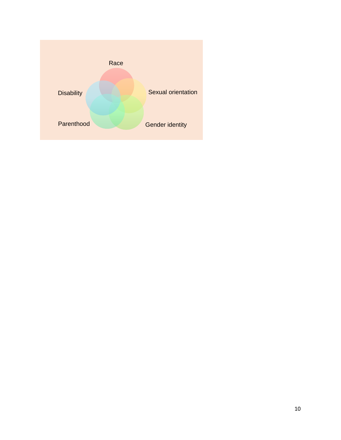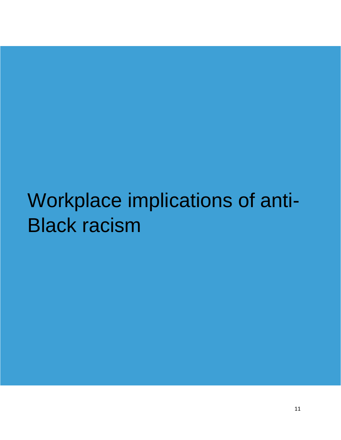# Workplace implications of anti-Black racism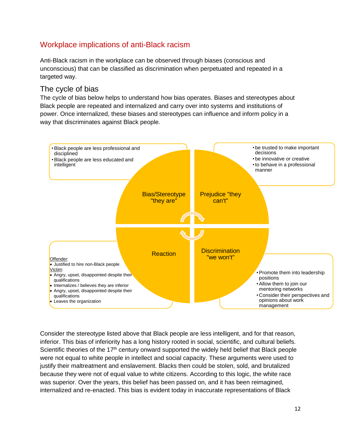# <span id="page-11-0"></span>Workplace implications of anti-Black racism

Anti-Black racism in the workplace can be observed through biases (conscious and unconscious) that can be classified as discrimination when perpetuated and repeated in a targeted way.

#### <span id="page-11-1"></span>The cycle of bias

The cycle of bias below helps to understand how bias operates. Biases and stereotypes about Black people are repeated and internalized and carry over into systems and institutions of power. Once internalized, these biases and stereotypes can influence and inform policy in a way that discriminates against Black people.



Consider the stereotype listed above that Black people are less intelligent, and for that reason, inferior. This bias of inferiority has a long history rooted in social, scientific, and cultural beliefs. Scientific theories of the 17<sup>th</sup> century onward supported the widely held belief that Black people were not equal to white people in intellect and social capacity. These arguments were used to justify their maltreatment and enslavement. Blacks then could be stolen, sold, and brutalized because they were not of equal value to white citizens. According to this logic, the white race was superior. Over the years, this belief has been passed on, and it has been reimagined, internalized and re-enacted. This bias is evident today in inaccurate representations of Black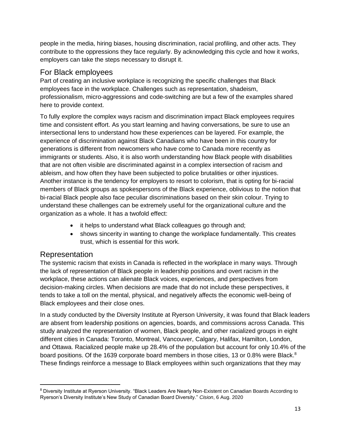people in the media, hiring biases, housing discrimination, racial profiling, and other acts. They contribute to the oppressions they face regularly. By acknowledging this cycle and how it works, employers can take the steps necessary to disrupt it.

#### <span id="page-12-0"></span>For Black employees

Part of creating an inclusive workplace is recognizing the specific challenges that Black employees face in the workplace. Challenges such as representation, shadeism, professionalism, micro-aggressions and code-switching are but a few of the examples shared here to provide context.

To fully explore the complex ways racism and discrimination impact Black employees requires time and consistent effort. As you start learning and having conversations, be sure to use an intersectional lens to understand how these experiences can be layered. For example, the experience of discrimination against Black Canadians who have been in this country for generations is different from newcomers who have come to Canada more recently as immigrants or students. Also, it is also worth understanding how Black people with disabilities that are not often visible are discriminated against in a complex intersection of racism and ableism, and how often they have been subjected to police brutalities or other injustices. Another instance is the tendency for employers to resort to colorism, that is opting for bi-racial members of Black groups as spokespersons of the Black experience, oblivious to the notion that bi-racial Black people also face peculiar discriminations based on their skin colour. Trying to understand these challenges can be extremely useful for the organizational culture and the organization as a whole. It has a twofold effect:

- it helps to understand what Black colleagues go through and;
- shows sincerity in wanting to change the workplace fundamentally. This creates trust, which is essential for this work.

#### <span id="page-12-1"></span>Representation

The systemic racism that exists in Canada is reflected in the workplace in many ways. Through the lack of representation of Black people in leadership positions and overt racism in the workplace, these actions can alienate Black voices, experiences, and perspectives from decision-making circles. When decisions are made that do not include these perspectives, it tends to take a toll on the mental, physical, and negatively affects the economic well-being of Black employees and their close ones.

In a study conducted by the Diversity Institute at Ryerson University, it was found that Black leaders are absent from leadership positions on agencies, boards, and commissions across Canada. This study analyzed the representation of women, Black people, and other racialized groups in eight different cities in Canada: Toronto, Montreal, Vancouver, Calgary, Halifax, Hamilton, London, and Ottawa. Racialized people make up 28.4% of the population but account for only 10.4% of the board positions. Of the 1639 corporate board members in those cities, 13 or 0.8% were Black.<sup>8</sup> These findings reinforce a message to Black employees within such organizations that they may

<sup>8</sup> Diversity Institute at Ryerson University. "Black Leaders Are Nearly Non-Existent on Canadian Boards According to Ryerson's Diversity Institute's New Study of Canadian Board Diversity." *Cision*, 6 Aug. 2020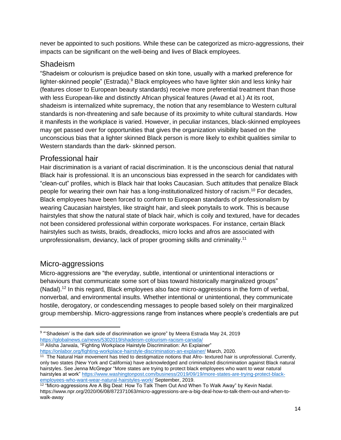never be appointed to such positions. While these can be categorized as micro-aggressions, their impacts can be significant on the well-being and lives of Black employees.

## <span id="page-13-0"></span>Shadeism

"Shadeism or colourism is prejudice based on skin tone, usually with a marked preference for lighter-skinned people" (Estrada).<sup>9</sup> Black employees who have lighter skin and less kinky hair (features closer to European beauty standards) receive more preferential treatment than those with less European-like and distinctly African physical features (Awad et al.) At its root, shadeism is internalized white supremacy, the notion that any resemblance to Western cultural standards is non-threatening and safe because of its proximity to white cultural standards. How it manifests in the workplace is varied. However, in peculiar instances, black-skinned employees may get passed over for opportunities that gives the organization visibility based on the unconscious bias that a lighter skinned Black person is more likely to exhibit qualities similar to Western standards than the dark- skinned person.

# <span id="page-13-1"></span>Professional hair

Hair discrimination is a variant of racial discrimination. It is the unconscious denial that natural Black hair is professional. It is an unconscious bias expressed in the search for candidates with "clean-cut" profiles, which is Black hair that looks Caucasian. Such attitudes that penalize Black people for wearing their own hair has a long-institutionalized history of racism. <sup>10</sup> For decades, Black employees have been forced to conform to European standards of professionalism by wearing Caucasian hairstyles, like straight hair, and sleek ponytails to work. This is because hairstyles that show the natural state of black hair, which is coily and textured, have for decades not been considered professional within corporate workspaces. For instance, certain Black hairstyles such as twists, braids, dreadlocks, micro locks and afros are associated with unprofessionalism, deviancy, lack of proper grooming skills and criminality.<sup>11</sup>

# <span id="page-13-2"></span>Micro-aggressions

Micro-aggressions are "the everyday, subtle, intentional or unintentional interactions or behaviours that communicate some sort of bias toward historically marginalized groups" (Nadal).<sup>12</sup> In this regard, Black employees also face micro-aggressions in the form of verbal, nonverbal, and environmental insults. Whether intentional or unintentional, they communicate hostile, derogatory, or condescending messages to people based solely on their marginalized group membership. Micro-aggressions range from instances where people's credentials are put

<https://onlabor.org/fighting-workplace-hairstyle-discrimination-an-explainer/> March, 2020.

 $^9$  "'Shadeism' is the dark side of discrimination we ignore" by Meera Estrada May 24, 2019 <https://globalnews.ca/news/5302019/shadeism-colourism-racism-canada/> <sup>10</sup> [Alisha Jarwala,](https://onlabor.org/author/alishajarwala/) "Fighting Workplace Hairstyle Discrimination: An Explainer"

<sup>&</sup>lt;sup>11</sup> The Natural Hair movement has tried to destigmatize notions that Afro- textured hair is unprofessional. Currently, only two states (New York and California) have acknowledged and criminalized discrimination against Black natural hairstyles. See Jenna McGregor "More states are trying to protect black employees who want to wear natural hairstyles at work" [https://www.washingtonpost.com/business/2019/09/19/more-states-are-trying-protect-black](https://www.washingtonpost.com/business/2019/09/19/more-states-are-trying-protect-black-employees-who-want-wear-natural-hairstyles-work/)[employees-who-want-wear-natural-hairstyles-work/](https://www.washingtonpost.com/business/2019/09/19/more-states-are-trying-protect-black-employees-who-want-wear-natural-hairstyles-work/) September, 2019.

 $^{12}$  "Micro-aggressions Are A Big Deal: How To Talk Them Out And When To Walk Away" by Kevin Nadal. https://www.npr.org/2020/06/08/872371063/micro-aggressions-are-a-big-deal-how-to-talk-them-out-and-when-towalk-away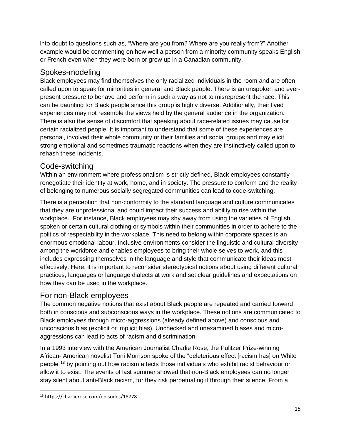into doubt to questions such as, "Where are you from? Where are you really from?" Another example would be commenting on how well a person from a minority community speaks English or French even when they were born or grew up in a Canadian community.

### <span id="page-14-0"></span>Spokes-modeling

Black employees may find themselves the only racialized individuals in the room and are often called upon to speak for minorities in general and Black people. There is an unspoken and everpresent pressure to behave and perform in such a way as not to misrepresent the race. This can be daunting for Black people since this group is highly diverse. Additionally, their lived experiences may not resemble the views held by the general audience in the organization. There is also the sense of discomfort that speaking about race-related issues may cause for certain racialized people. It is important to understand that some of these experiences are personal, involved their whole community or their families and social groups and may elicit strong emotional and sometimes traumatic reactions when they are instinctively called upon to rehash these incidents.

# <span id="page-14-1"></span>Code-switching

Within an environment where professionalism is strictly defined, Black employees constantly renegotiate their identity at work, home, and in society. The pressure to conform and the reality of belonging to numerous socially segregated communities can lead to code-switching.

There is a perception that non-conformity to the standard language and culture communicates that they are unprofessional and could impact their success and ability to rise within the workplace. For instance, Black employees may shy away from using the varieties of English spoken or certain cultural clothing or symbols within their communities in order to adhere to the politics of respectability in the workplace. This need to belong within corporate spaces is an enormous emotional labour. Inclusive environments consider the linguistic and cultural diversity among the workforce and enables employees to bring their whole selves to work, and this includes expressing themselves in the language and style that communicate their ideas most effectively. Here, it is important to reconsider stereotypical notions about using different cultural practices, languages or language dialects at work and set clear guidelines and expectations on how they can be used in the workplace.

# <span id="page-14-2"></span>For non-Black employees

The common negative notions that exist about Black people are repeated and carried forward both in conscious and subconscious ways in the workplace. These notions are communicated to Black employees through micro-aggressions (already defined above) and conscious and unconscious bias (explicit or implicit bias). Unchecked and unexamined biases and microaggressions can lead to acts of racism and discrimination.

In a 1993 interview with the American Journalist Charlie Rose, the Pulitzer Prize-winning African- American novelist Toni Morrison spoke of the "deleterious effect [racism has] on White people"<sup>13</sup> by pointing out how racism affects those individuals who exhibit racist behaviour or allow it to exist. The events of last summer showed that non-Black employees can no longer stay silent about anti-Black racism, for they risk perpetuating it through their silence. From a

<sup>13</sup> https://charlierose.com/episodes/18778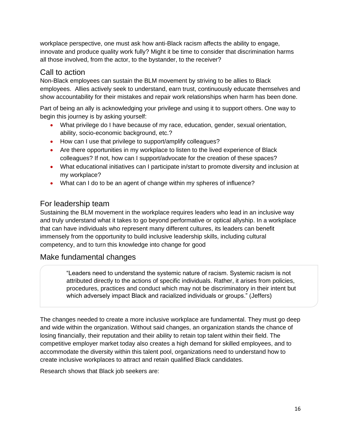workplace perspective, one must ask how anti-Black racism affects the ability to engage, innovate and produce quality work fully? Might it be time to consider that discrimination harms all those involved, from the actor, to the bystander, to the receiver?

#### <span id="page-15-0"></span>Call to action

Non-Black employees can sustain the BLM movement by striving to be allies to Black employees. Allies actively seek to understand, earn trust, continuously educate themselves and show accountability for their mistakes and repair work relationships when harm has been done.

Part of being an ally is acknowledging your privilege and using it to support others. One way to begin this journey is by asking yourself:

- What privilege do I have because of my race, education, gender, sexual orientation, ability, socio-economic background, etc.?
- How can I use that privilege to support/amplify colleagues?
- Are there opportunities in my workplace to listen to the lived experience of Black colleagues? If not, how can I support/advocate for the creation of these spaces?
- What educational initiatives can I participate in/start to promote diversity and inclusion at my workplace?
- What can I do to be an agent of change within my spheres of influence?

# <span id="page-15-1"></span>For leadership team

Sustaining the BLM movement in the workplace requires leaders who lead in an inclusive way and truly understand what it takes to go beyond performative or optical allyship. In a workplace that can have individuals who represent many different cultures, its leaders can benefit immensely from the opportunity to build inclusive leadership skills, including cultural competency, and to turn this knowledge into change for good

### <span id="page-15-2"></span>Make fundamental changes

"Leaders need to understand the systemic nature of racism. Systemic racism is not attributed directly to the actions of specific individuals. Rather, it arises from policies, procedures, practices and conduct which may not be discriminatory in their intent but which adversely impact Black and racialized individuals or groups." (Jeffers)

The changes needed to create a more inclusive workplace are fundamental. They must go deep and wide within the organization. Without said changes, an organization stands the chance of losing financially, their reputation and their ability to retain top talent within their field. The competitive employer market today also creates a high demand for skilled employees, and to accommodate the diversity within this talent pool, organizations need to understand how to create inclusive workplaces to attract and retain qualified Black candidates.

Research shows that Black job seekers are: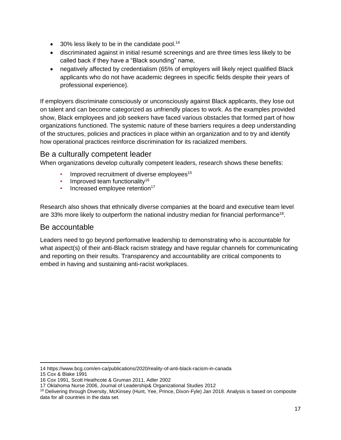- 30% less likely to be in the candidate pool.<sup>14</sup>
- discriminated against in initial resumé screenings and are three times less likely to be called back if they have a "Black sounding" name,
- negatively affected by credentialism (65% of employers will likely reject qualified Black applicants who do not have academic degrees in specific fields despite their years of professional experience).

If employers discriminate consciously or unconsciously against Black applicants, they lose out on talent and can become categorized as unfriendly places to work. As the examples provided show, Black employees and job seekers have faced various obstacles that formed part of how organizations functioned. The systemic nature of these barriers requires a deep understanding of the structures, policies and practices in place within an organization and to try and identify how operational practices reinforce discrimination for its racialized members.

#### <span id="page-16-0"></span>Be a culturally competent leader

When organizations develop culturally competent leaders, research shows these benefits:

- Improved recruitment of diverse employees<sup>15</sup>
- Improved team functionality<sup>16</sup>
- $\cdot$  Increased employee retention<sup>17</sup>

Research also shows that ethnically diverse companies at the board and executive team level are 33% more likely to outperform the national industry median for financial performance<sup>18</sup>.

### Be accountable

Leaders need to go beyond performative leadership to demonstrating who is accountable for what aspect(s) of their anti-Black racism strategy and have regular channels for communicating and reporting on their results. Transparency and accountability are critical components to embed in having and sustaining anti-racist workplaces.

<sup>14</sup> https://www.bcg.com/en-ca/publications/2020/reality-of-anti-black-racism-in-canada

<sup>15</sup> Cox & Blake 1991

<sup>16</sup> Cox 1991, Scott Heathcote & Gruman 2011, Adler 2002

<sup>17</sup> Oklahoma Nurse 2006, Journal of Leadership& Organizational Studies 2012

<sup>&</sup>lt;sup>18</sup> Delivering through Diversity, McKinsey (Hunt, Yee, Prince, Dixon-Fyle) Jan 2018. Analysis is based on composite data for all countries in the data set.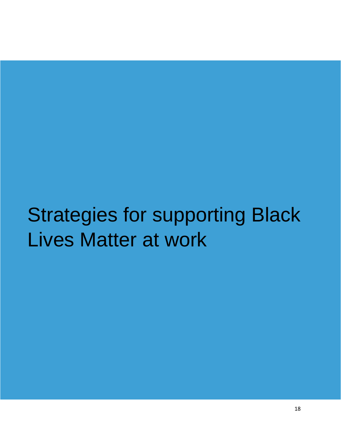# <span id="page-17-0"></span>Strategies for supporting Black Lives Matter at work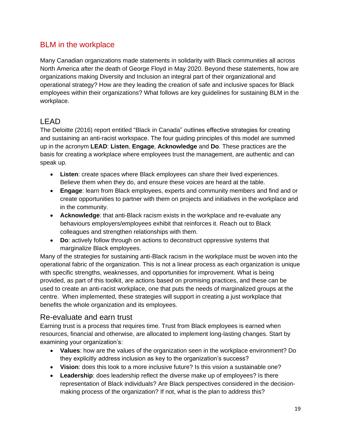### <span id="page-18-0"></span>BLM in the workplace

Many Canadian organizations made statements in solidarity with Black communities all across North America after the death of George Floyd in May 2020. Beyond these statements, how are organizations making Diversity and Inclusion an integral part of their organizational and operational strategy? How are they leading the creation of safe and inclusive spaces for Black employees within their organizations? What follows are key guidelines for sustaining BLM in the workplace.

# <span id="page-18-1"></span>LEAD

The Deloitte (2016) report entitled "Black in Canada" outlines effective strategies for creating and sustaining an anti-racist workspace. The four guiding principles of this model are summed up in the acronym **LEAD**: **Listen**, **Engage**, **Acknowledge** and **Do**. These practices are the basis for creating a workplace where employees trust the management, are authentic and can speak up.

- **Listen**: create spaces where Black employees can share their lived experiences. Believe them when they do, and ensure these voices are heard at the table.
- **Engage**: learn from Black employees, experts and community members and find and or create opportunities to partner with them on projects and initiatives in the workplace and in the community.
- **Acknowledge**: that anti-Black racism exists in the workplace and re-evaluate any behaviours employers/employees exhibit that reinforces it. Reach out to Black colleagues and strengthen relationships with them.
- **Do**: actively follow through on actions to deconstruct oppressive systems that marginalize Black employees.

Many of the strategies for sustaining anti-Black racism in the workplace must be woven into the operational fabric of the organization. This is not a linear process as each organization is unique with specific strengths, weaknesses, and opportunities for improvement. What is being provided, as part of this toolkit, are actions based on promising practices, and these can be used to create an anti-racist workplace, one that puts the needs of marginalized groups at the centre. When implemented, these strategies will support in creating a just workplace that benefits the whole organization and its employees.

### <span id="page-18-2"></span>Re-evaluate and earn trust

Earning trust is a process that requires time. Trust from Black employees is earned when resources, financial and otherwise, are allocated to implement long-lasting changes. Start by examining your organization's:

- **Values**: how are the values of the organization seen in the workplace environment? Do they explicitly address inclusion as key to the organization's success?
- **Vision**: does this look to a more inclusive future? Is this vision a sustainable one?
- **Leadership**: does leadership reflect the diverse make up of employees? Is there representation of Black individuals? Are Black perspectives considered in the decisionmaking process of the organization? If not, what is the plan to address this?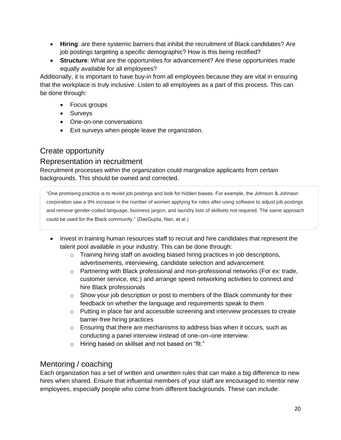- **Hiring**: are there systemic barriers that inhibit the recruitment of Black candidates? Are job postings targeting a specific demographic? How is this being rectified?
- **Structure**: What are the opportunities for advancement? Are these opportunities made equally available for all employees?

Additionally, it is important to have buy-in from all employees because they are vital in ensuring that the workplace is truly inclusive. Listen to all employees as a part of this process. This can be done through:

- Focus groups
- Surveys
- One-on-one conversations
- Exit surveys when people leave the organization.

# <span id="page-19-0"></span>Create opportunity

#### <span id="page-19-1"></span>Representation in recruitment

Recruitment processes within the organization could marginalize applicants from certain backgrounds. This should be owned and corrected.

"One promising practice is to revisit job postings and look for hidden biases. For example, the Johnson & Johnson corporation saw a 9% increase in the number of women applying for roles after using software to adjust job postings and remove gender-coded language, business jargon, and laundry lists of skillsets not required. The same approach could be used for the Black community." (DasGupta, Nan, et al.)

- Invest in training human resources staff to recruit and hire candidates that represent the talent pool available in your industry. This can be done through:
	- $\circ$  Training hiring staff on avoiding biased hiring practices in job descriptions, advertisements, interviewing, candidate selection and advancement
	- $\circ$  Partnering with Black professional and non-professional networks (For ex: trade, customer service, etc.) and arrange speed networking activities to connect and hire Black professionals
	- $\circ$  Show your job description or post to members of the Black community for their feedback on whether the language and requirements speak to them
	- o Putting in place fair and accessible screening and interview processes to create barrier-free hiring practices
	- $\circ$  Ensuring that there are mechanisms to address bias when it occurs, such as conducting a panel interview instead of one–on–one interview.
	- o Hiring based on skillset and not based on "fit."

### <span id="page-19-2"></span>Mentoring / coaching

Each organization has a set of written and unwritten rules that can make a big difference to new hires when shared. Ensure that influential members of your staff are encouraged to mentor new employees, especially people who come from different backgrounds. These can include: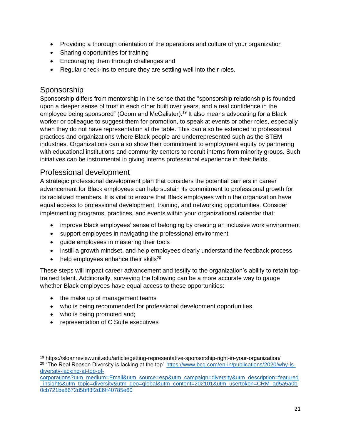- Providing a thorough orientation of the operations and culture of your organization
- Sharing opportunities for training
- Encouraging them through challenges and
- Regular check-ins to ensure they are settling well into their roles.

## <span id="page-20-0"></span>Sponsorship

Sponsorship differs from mentorship in the sense that the "sponsorship relationship is founded upon a deeper sense of trust in each other built over years, and a real confidence in the employee being sponsored" (Odom and McCalister).<sup>19</sup> It also means advocating for a Black worker or colleague to suggest them for promotion, to speak at events or other roles, especially when they do not have representation at the table. This can also be extended to professional practices and organizations where Black people are underrepresented such as the STEM industries. Organizations can also show their commitment to employment equity by partnering with educational institutions and community centers to recruit interns from minority groups. Such initiatives can be instrumental in giving interns professional experience in their fields.

### <span id="page-20-1"></span>Professional development

A strategic professional development plan that considers the potential barriers in career advancement for Black employees can help sustain its commitment to professional growth for its racialized members. It is vital to ensure that Black employees within the organization have equal access to professional development, training, and networking opportunities. Consider implementing programs, practices, and events within your organizational calendar that:

- improve Black employees' sense of belonging by creating an inclusive work environment
- support employees in navigating the professional environment
- guide employees in mastering their tools
- instill a growth mindset, and help employees clearly understand the feedback process
- help employees enhance their skills<sup>20</sup>

These steps will impact career advancement and testify to the organization's ability to retain toptrained talent. Additionally, surveying the following can be a more accurate way to gauge whether Black employees have equal access to these opportunities:

- the make up of management teams
- who is being recommended for professional development opportunities
- who is being promoted and;
- representation of C Suite executives

<sup>19</sup> https://sloanreview.mit.edu/article/getting-representative-sponsorship-right-in-your-organization/

<sup>&</sup>lt;sup>20</sup> "The Real Reason Diversity is lacking at the top" [https://www.bcg.com/en-in/publications/2020/why-is](https://www.bcg.com/en-in/publications/2020/why-is-diversity-lacking-at-top-of-corporations?utm_medium=Email&utm_source=esp&utm_campaign=diversity&utm_description=featured_insights&utm_topic=diversity&utm_geo=global&utm_content=202101&utm_usertoken=CRM_ad5a5a0b0cb721be8672d5bff3f2d39f40785e60)[diversity-lacking-at-top-of-](https://www.bcg.com/en-in/publications/2020/why-is-diversity-lacking-at-top-of-corporations?utm_medium=Email&utm_source=esp&utm_campaign=diversity&utm_description=featured_insights&utm_topic=diversity&utm_geo=global&utm_content=202101&utm_usertoken=CRM_ad5a5a0b0cb721be8672d5bff3f2d39f40785e60)

[corporations?utm\\_medium=Email&utm\\_source=esp&utm\\_campaign=diversity&utm\\_description=featured](https://www.bcg.com/en-in/publications/2020/why-is-diversity-lacking-at-top-of-corporations?utm_medium=Email&utm_source=esp&utm_campaign=diversity&utm_description=featured_insights&utm_topic=diversity&utm_geo=global&utm_content=202101&utm_usertoken=CRM_ad5a5a0b0cb721be8672d5bff3f2d39f40785e60) [\\_insights&utm\\_topic=diversity&utm\\_geo=global&utm\\_content=202101&utm\\_usertoken=CRM\\_ad5a5a0b](https://www.bcg.com/en-in/publications/2020/why-is-diversity-lacking-at-top-of-corporations?utm_medium=Email&utm_source=esp&utm_campaign=diversity&utm_description=featured_insights&utm_topic=diversity&utm_geo=global&utm_content=202101&utm_usertoken=CRM_ad5a5a0b0cb721be8672d5bff3f2d39f40785e60) [0cb721be8672d5bff3f2d39f40785e60](https://www.bcg.com/en-in/publications/2020/why-is-diversity-lacking-at-top-of-corporations?utm_medium=Email&utm_source=esp&utm_campaign=diversity&utm_description=featured_insights&utm_topic=diversity&utm_geo=global&utm_content=202101&utm_usertoken=CRM_ad5a5a0b0cb721be8672d5bff3f2d39f40785e60)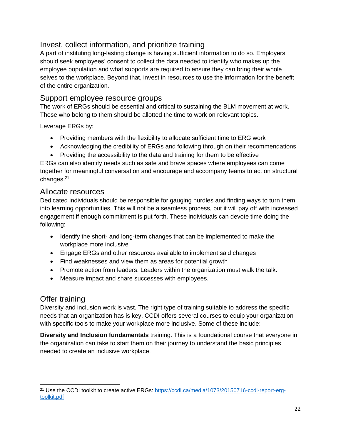#### <span id="page-21-0"></span>Invest, collect information, and prioritize training

A part of instituting long-lasting change is having sufficient information to do so. Employers should seek employees' consent to collect the data needed to identify who makes up the employee population and what supports are required to ensure they can bring their whole selves to the workplace. Beyond that, invest in resources to use the information for the benefit of the entire organization.

#### <span id="page-21-1"></span>Support employee resource groups

The work of ERGs should be essential and critical to sustaining the BLM movement at work. Those who belong to them should be allotted the time to work on relevant topics.

Leverage ERGs by:

- Providing members with the flexibility to allocate sufficient time to ERG work
- Acknowledging the credibility of ERGs and following through on their recommendations
- Providing the accessibility to the data and training for them to be effective

ERGs can also identify needs such as safe and brave spaces where employees can come together for meaningful conversation and encourage and accompany teams to act on structural changes.<sup>21</sup>

#### <span id="page-21-2"></span>Allocate resources

Dedicated individuals should be responsible for gauging hurdles and finding ways to turn them into learning opportunities. This will not be a seamless process, but it will pay off with increased engagement if enough commitment is put forth. These individuals can devote time doing the following:

- Identify the short- and long-term changes that can be implemented to make the workplace more inclusive
- Engage ERGs and other resources available to implement said changes
- Find weaknesses and view them as areas for potential growth
- Promote action from leaders. Leaders within the organization must walk the talk.
- Measure impact and share successes with employees.

#### <span id="page-21-3"></span>Offer training

Diversity and inclusion work is vast. The right type of training suitable to address the specific needs that an organization has is key. CCDI offers several courses to equip your organization with specific tools to make your workplace more inclusive. Some of these include:

**Diversity and Inclusion fundamentals** training. This is a foundational course that everyone in the organization can take to start them on their journey to understand the basic principles needed to create an inclusive workplace.

<sup>21</sup> Use the CCDI toolkit to create active ERGs: [https://ccdi.ca/media/1073/20150716-ccdi-report-erg](https://ccdi.ca/media/1073/20150716-ccdi-report-erg-toolkit.pdf)[toolkit.pdf](https://ccdi.ca/media/1073/20150716-ccdi-report-erg-toolkit.pdf)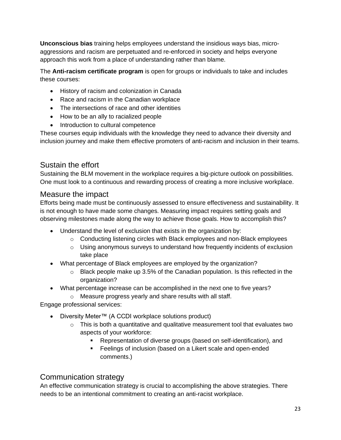**Unconscious bias** training helps employees understand the insidious ways bias, microaggressions and racism are perpetuated and re-enforced in society and helps everyone approach this work from a place of understanding rather than blame.

The **Anti-racism certificate program** is open for groups or individuals to take and includes these courses:

- History of racism and colonization in Canada
- Race and racism in the Canadian workplace
- The intersections of race and other identities
- How to be an ally to racialized people
- Introduction to cultural competence

These courses equip individuals with the knowledge they need to advance their diversity and inclusion journey and make them effective promoters of anti-racism and inclusion in their teams.

#### <span id="page-22-0"></span>Sustain the effort

Sustaining the BLM movement in the workplace requires a big-picture outlook on possibilities. One must look to a continuous and rewarding process of creating a more inclusive workplace.

#### <span id="page-22-1"></span>Measure the impact

Efforts being made must be continuously assessed to ensure effectiveness and sustainability. It is not enough to have made some changes. Measuring impact requires setting goals and observing milestones made along the way to achieve those goals. How to accomplish this?

- Understand the level of exclusion that exists in the organization by:
	- $\circ$  Conducting listening circles with Black employees and non-Black employees
	- o Using anonymous surveys to understand how frequently incidents of exclusion take place
- What percentage of Black employees are employed by the organization?
	- o Black people make up 3.5% of the Canadian population. Is this reflected in the organization?
- What percentage increase can be accomplished in the next one to five years?
	- o Measure progress yearly and share results with all staff.

Engage professional services:

- Diversity Meter™ (A CCDI workplace solutions product)
	- $\circ$  This is both a quantitative and qualitative measurement tool that evaluates two aspects of your workforce:
		- Representation of diverse groups (based on self-identification), and
		- Feelings of inclusion (based on a Likert scale and open-ended comments.)

#### <span id="page-22-2"></span>Communication strategy

An effective communication strategy is crucial to accomplishing the above strategies. There needs to be an intentional commitment to creating an anti-racist workplace.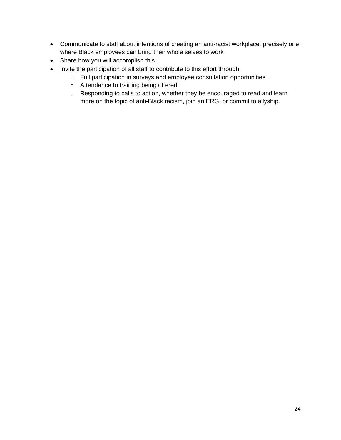- Communicate to staff about intentions of creating an anti-racist workplace, precisely one where Black employees can bring their whole selves to work
- Share how you will accomplish this
- Invite the participation of all staff to contribute to this effort through:
	- o Full participation in surveys and employee consultation opportunities
	- o Attendance to training being offered
	- o Responding to calls to action, whether they be encouraged to read and learn more on the topic of anti-Black racism, join an ERG, or commit to allyship.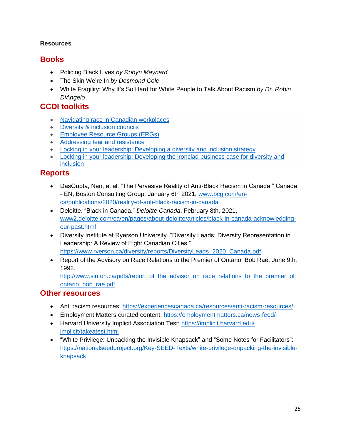#### <span id="page-24-0"></span>**Resources**

# <span id="page-24-1"></span>**Books**

- Policing Black Lives *by Robyn Maynard*
- The Skin We're In *by Desmond Cole*
- White Fragility: Why It's So Hard for White People to Talk About Racism *by Dr. Robin DiAngelo*

# <span id="page-24-2"></span>**CCDI toolkits**

- [Navigating race in Canadian workplaces](https://ccdi.ca/media/1849/20180731-toolkit-navigating-race-in-canadian-workplaces.pdf)
- [Diversity & inclusion councils](https://ccdi.ca/media/1072/20170831-ccdi-diversity-council-toolkit-final-v3.pdf)
- [Employee Resource Groups \(ERGs\)](https://ccdi.ca/media/1073/20150716-ccdi-report-erg-toolkit.pdf)
- [Addressing fear and resistance](https://ccdi.ca/media/1074/20150217-ccdi-report-addressing-fear-and-resistance-in-di-eng.pdf)
- [Locking in your leadership: Developing a diversity and inclusion strategy](https://ccdi.ca/media/2079/20200130-locking-in-your-leadership-toolkit-for-developing-a-di-strategy.pdf)
- [Locking in your leadership: Developing the ironclad business case for diversity and](https://ccdi.ca/media/2082/20200130-locking-in-your-leadership-toolkit-for-developing-the-ironclad-business-case-for-di.pdf) [inclusion](https://ccdi.ca/media/2082/20200130-locking-in-your-leadership-toolkit-for-developing-the-ironclad-business-case-for-di.pdf)

# <span id="page-24-3"></span>**Reports**

- DasGupta, Nan, et al. "The Pervasive Reality of Anti-Black Racism in Canada." Canada - EN, Boston Consulting Group, January 6th 2021, [www.bcg.com/en](http://www.bcg.com/en-ca/publications/2020/reality-of-anti-black-racism-in-canada)[ca/publications/2020/reality-of-anti-black-racism-in-canada](http://www.bcg.com/en-ca/publications/2020/reality-of-anti-black-racism-in-canada)
- Deloitte. "Black in Canada." *Deloitte Canada*, February 8th, 2021, [www2.deloitte.com/ca/en/pages/about-deloitte/articles/black-in-canada-acknowledging](file:///C:/Users/sarita.addy/AppData/Local/Microsoft/Windows/INetCache/Content.Outlook/CHMN46ER/www2.deloitte.com/ca/en/pages/about-deloitte/articles/black-in-canada-acknowledging-our-past.html)[our-past.html](file:///C:/Users/sarita.addy/AppData/Local/Microsoft/Windows/INetCache/Content.Outlook/CHMN46ER/www2.deloitte.com/ca/en/pages/about-deloitte/articles/black-in-canada-acknowledging-our-past.html)
- Diversity Institute at Ryerson University. "Diversity Leads: Diversity Representation in Leadership: A Review of Eight Canadian Cities." [https://www.ryerson.ca/diversity/reports/DiversityLeads\\_2020\\_Canada.pdf](https://www.ryerson.ca/diversity/reports/DiversityLeads_2020_Canada.pdf)
- Report of the Advisory on Race Relations to the Premier of Ontario, Bob Rae. June 9th, 1992.

http://www.siu.on.ca/pdfs/report\_of\_the\_advisor\_on\_race\_relations\_to\_the\_premier\_of [ontario\\_bob\\_rae.pdf](http://www.siu.on.ca/pdfs/report_of_the_advisor_on_race_relations_to_the_premier_of_ontario_bob_rae.pdf)

#### <span id="page-24-4"></span>**Other resources**

- Anti racism resources:<https://experiencescanada.ca/resources/anti-racism-resources/>
- Employment Matters curated content:<https://employmentmatters.ca/news-feed/>
- Harvard University Implicit Association Test: [https://implicit.harvard.edu/](https://implicit.harvard.edu/%20implicit/takeatest.html) [implicit/takeatest.html](https://implicit.harvard.edu/%20implicit/takeatest.html)
- "White Privilege: Unpacking the Invisible Knapsack" and "Some Notes for Facilitators": [https://nationalseedproject.org/Key-SEED-Texts/white-privilege-unpacking-the-invisible](https://nationalseedproject.org/Key-SEED-Texts/white-privilege-unpacking-the-invisible-knapsack)[knapsack](https://nationalseedproject.org/Key-SEED-Texts/white-privilege-unpacking-the-invisible-knapsack)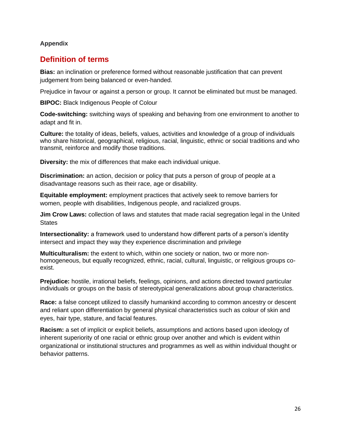#### <span id="page-25-0"></span>**Appendix**

#### <span id="page-25-1"></span>**Definition of terms**

**Bias:** an inclination or preference formed without reasonable justification that can prevent judgement from being balanced or even-handed.

Prejudice in favour or against a person or group. It cannot be eliminated but must be managed.

**BIPOC:** Black Indigenous People of Colour

**Code-switching:** switching ways of speaking and behaving from one environment to another to adapt and fit in.

**Culture:** the totality of ideas, beliefs, values, activities and knowledge of a group of individuals who share historical, geographical, religious, racial, linguistic, ethnic or social traditions and who transmit, reinforce and modify those traditions.

**Diversity:** the mix of differences that make each individual unique.

**Discrimination:** an action, decision or policy that puts a person of group of people at a disadvantage reasons such as their race, age or disability.

**Equitable employment:** employment practices that actively seek to remove barriers for women, people with disabilities, Indigenous people, and racialized groups.

**Jim Crow Laws:** collection of laws and statutes that made racial segregation legal in the United **States** 

**Intersectionality:** a framework used to understand how different parts of a person's identity intersect and impact they way they experience discrimination and privilege

**Multiculturalism:** the extent to which, within one society or nation, two or more nonhomogeneous, but equally recognized, ethnic, racial, cultural, linguistic, or religious groups coexist.

**Prejudice:** hostile, irrational beliefs, feelings, opinions, and actions directed toward particular individuals or groups on the basis of stereotypical generalizations about group characteristics.

**Race:** a false concept utilized to classify humankind according to common ancestry or descent and reliant upon differentiation by general physical characteristics such as colour of skin and eyes, hair type, stature, and facial features.

**Racism:** a set of implicit or explicit beliefs, assumptions and actions based upon ideology of inherent superiority of one racial or ethnic group over another and which is evident within organizational or institutional structures and programmes as well as within individual thought or behavior patterns.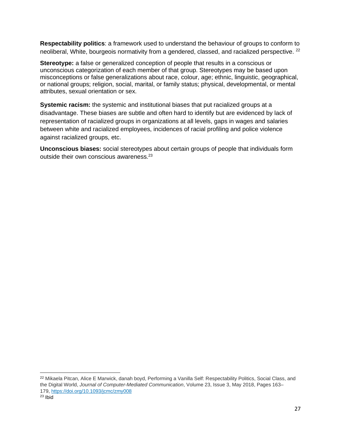**Respectability politics**: a framework used to understand the behaviour of groups to conform to neoliberal, White, bourgeois normativity from a gendered, classed, and racialized perspective. <sup>22</sup>

**Stereotype:** a false or generalized conception of people that results in a conscious or unconscious categorization of each member of that group. Stereotypes may be based upon misconceptions or false generalizations about race, colour, age; ethnic, linguistic, geographical, or national groups; religion, social, marital, or family status; physical, developmental, or mental attributes, sexual orientation or sex.

**Systemic racism:** the systemic and institutional biases that put racialized groups at a disadvantage. These biases are subtle and often hard to identify but are evidenced by lack of representation of racialized groups in organizations at all levels, gaps in wages and salaries between white and racialized employees, incidences of racial profiling and police violence against racialized groups, etc.

**Unconscious biases:** social stereotypes about certain groups of people that individuals form outside their own conscious awareness.<sup>23</sup>

<sup>&</sup>lt;sup>22</sup> Mikaela Pitcan, Alice E Marwick, danah boyd, Performing a Vanilla Self: Respectability Politics, Social Class, and the Digital World, *Journal of Computer-Mediated Communication*, Volume 23, Issue 3, May 2018, Pages 163– 179, <https://doi.org/10.1093/jcmc/zmy008>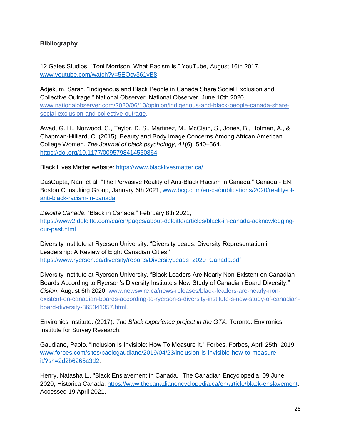#### <span id="page-27-0"></span>**Bibliography**

12 Gates Studios. "Toni Morrison, What Racism Is." YouTube, August 16th 2017, [www.youtube.com/watch?v=5EQcy361vB8](http://www.youtube.com/watch?v=5EQcy361vB8)

Adjekum, Sarah. "Indigenous and Black People in Canada Share Social Exclusion and Collective Outrage." National Observer, National Observer, June 10th 2020, [www.nationalobserver.com/2020/06/10/opinion/indigenous-and-black-people-canada-share](http://www.nationalobserver.com/2020/06/10/opinion/indigenous-and-black-people-canada-share-social-exclusion-and-collective-outrage)[social-exclusion-and-collective-outrage.](http://www.nationalobserver.com/2020/06/10/opinion/indigenous-and-black-people-canada-share-social-exclusion-and-collective-outrage)

Awad, G. H., Norwood, C., Taylor, D. S., Martinez, M., McClain, S., Jones, B., Holman, A., & Chapman-Hilliard, C. (2015). Beauty and Body Image Concerns Among African American College Women. *The Journal of black psychology*, *41*(6), 540–564. <https://doi.org/10.1177/0095798414550864>

Black Lives Matter website:<https://www.blacklivesmatter.ca/>

DasGupta, Nan, et al. "The Pervasive Reality of Anti-Black Racism in Canada." Canada - EN, Boston Consulting Group, January 6th 2021, [www.bcg.com/en-ca/publications/2020/reality-of](http://www.bcg.com/en-ca/publications/2020/reality-of-anti-black-racism-in-canada)[anti-black-racism-in-canada](http://www.bcg.com/en-ca/publications/2020/reality-of-anti-black-racism-in-canada)

*Deloitte Canada*. "Black in Canada." February 8th 2021, [https://www2.deloitte.com/ca/en/pages/about-deloitte/articles/black-in-canada-acknowledging](https://www2.deloitte.com/ca/en/pages/about-deloitte/articles/black-in-canada-acknowledging-our-past.html)[our-past.html](https://www2.deloitte.com/ca/en/pages/about-deloitte/articles/black-in-canada-acknowledging-our-past.html)

Diversity Institute at Ryerson University. "Diversity Leads: Diversity Representation in Leadership: A Review of Eight Canadian Cities." [https://www.ryerson.ca/diversity/reports/DiversityLeads\\_2020\\_Canada.pdf](https://www.ryerson.ca/diversity/reports/DiversityLeads_2020_Canada.pdf)

Diversity Institute at Ryerson University. "Black Leaders Are Nearly Non-Existent on Canadian Boards According to Ryerson's Diversity Institute's New Study of Canadian Board Diversity." *Cision*, August 6th 2020, [www.newswire.ca/news-releases/black-leaders-are-nearly-non](http://www.newswire.ca/news-releases/black-leaders-are-nearly-non-existent-on-canadian-boards-according-to-ryerson-s-diversity-institute-s-new-study-of-canadian-board-diversity-865341357.html)[existent-on-canadian-boards-according-to-ryerson-s-diversity-institute-s-new-study-of-canadian](http://www.newswire.ca/news-releases/black-leaders-are-nearly-non-existent-on-canadian-boards-according-to-ryerson-s-diversity-institute-s-new-study-of-canadian-board-diversity-865341357.html)[board-diversity-865341357.html.](http://www.newswire.ca/news-releases/black-leaders-are-nearly-non-existent-on-canadian-boards-according-to-ryerson-s-diversity-institute-s-new-study-of-canadian-board-diversity-865341357.html)

Environics Institute. (2017). *The Black experience project in the GTA*. Toronto: Environics Institute for Survey Research.

Gaudiano, Paolo. "Inclusion Is Invisible: How To Measure It." Forbes, Forbes, April 25th. 2019, [www.forbes.com/sites/paologaudiano/2019/04/23/inclusion-is-invisible-how-to-measure](http://www.forbes.com/sites/paologaudiano/2019/04/23/inclusion-is-invisible-how-to-measure-it/?sh=2d2b6265a3d2)[it/?sh=2d2b6265a3d2.](http://www.forbes.com/sites/paologaudiano/2019/04/23/inclusion-is-invisible-how-to-measure-it/?sh=2d2b6265a3d2)

Henry, Natasha L.. "Black Enslavement in Canada." The Canadian Encyclopedia, 09 June 2020, Historica Canada. [https://www.thecanadianencyclopedia.ca/en/article/black-enslavement.](https://www.thecanadianencyclopedia.ca/en/article/black-enslavement) Accessed 19 April 2021.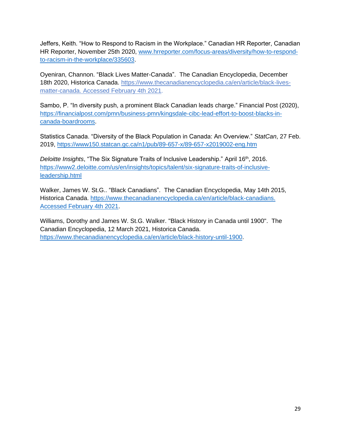Jeffers, Keith. "How to Respond to Racism in the Workplace." Canadian HR Reporter, Canadian HR Reporter, November 25th 2020, [www.hrreporter.com/focus-areas/diversity/how-to-respond](http://www.hrreporter.com/focus-areas/diversity/how-to-respond-to-racism-in-the-workplace/335603)[to-racism-in-the-workplace/335603.](http://www.hrreporter.com/focus-areas/diversity/how-to-respond-to-racism-in-the-workplace/335603)

Oyeniran, Channon. "Black Lives Matter-Canada". The Canadian Encyclopedia, December 18th 2020, Historica Canada. [https://www.thecanadianencyclopedia.ca/en/article/black-lives](https://www.thecanadianencyclopedia.ca/en/article/black-lives-matter-canada.%20Accessed%2004%20February%202021)[matter-canada. Accessed February 4th 2021.](https://www.thecanadianencyclopedia.ca/en/article/black-lives-matter-canada.%20Accessed%2004%20February%202021)

Sambo, P. "In diversity push, a prominent Black Canadian leads charge." Financial Post (2020), [https://financialpost.com/pmn/business-pmn/kingsdale-cibc-lead-effort-to-boost-blacks-in](https://financialpost.com/pmn/business-pmn/kingsdale-cibc-lead-effort-to-boost-blacks-in-canada-boardrooms)[canada-boardrooms.](https://financialpost.com/pmn/business-pmn/kingsdale-cibc-lead-effort-to-boost-blacks-in-canada-boardrooms)

Statistics Canada. "Diversity of the Black Population in Canada: An Overview." *StatCan*, 27 Feb. 2019,<https://www150.statcan.gc.ca/n1/pub/89-657-x/89-657-x2019002-eng.htm>

Deloitte Insights, "The Six Signature Traits of Inclusive Leadership." April 16<sup>th</sup>, 2016. [https://www2.deloitte.com/us/en/insights/topics/talent/six-signature-traits-of-inclusive](https://www2.deloitte.com/us/en/insights/topics/talent/six-signature-traits-of-inclusive-leadership.html)[leadership.html](https://www2.deloitte.com/us/en/insights/topics/talent/six-signature-traits-of-inclusive-leadership.html)

Walker, James W. St.G.. "Black Canadians". The Canadian Encyclopedia, May 14th 2015, Historica Canada. [https://www.thecanadianencyclopedia.ca/en/article/black-canadians.](https://www.thecanadianencyclopedia.ca/en/article/black-canadians.%20Accessed%20February%204th%202021)  [Accessed February 4th 2021.](https://www.thecanadianencyclopedia.ca/en/article/black-canadians.%20Accessed%20February%204th%202021)

Williams, Dorothy and James W. St.G. Walker. "Black History in Canada until 1900". The Canadian Encyclopedia, 12 March 2021, Historica Canada. [https://www.thecanadianencyclopedia.ca/en/article/black-history-until-1900.](https://www.thecanadianencyclopedia.ca/en/article/black-history-until-1900)